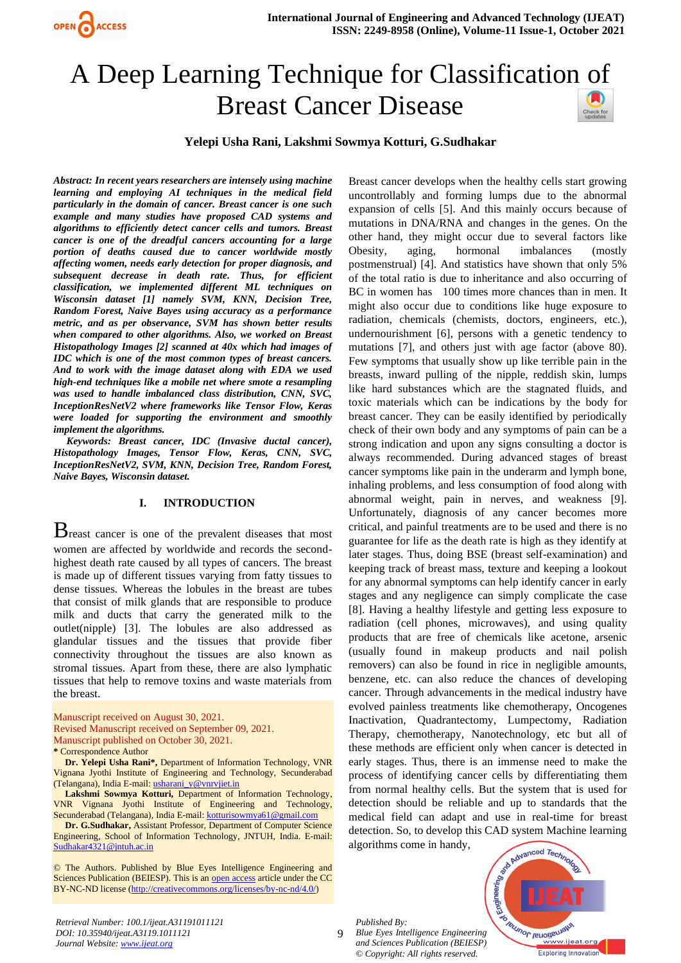

# A Deep Learning Technique for Classification of Breast Cancer Disease



*Abstract: In recent years researchers are intensely using machine learning and employing AI techniques in the medical field particularly in the domain of cancer. Breast cancer is one such example and many studies have proposed CAD systems and algorithms to efficiently detect cancer cells and tumors. Breast cancer is one of the dreadful cancers accounting for a large portion of deaths caused due to cancer worldwide mostly affecting women, needs early detection for proper diagnosis, and subsequent decrease in death rate. Thus, for efficient classification, we implemented different ML techniques on Wisconsin dataset [1] namely SVM, KNN, Decision Tree, Random Forest, Naive Bayes using accuracy as a performance metric, and as per observance, SVM has shown better results when compared to other algorithms. Also, we worked on Breast Histopathology Images [2] scanned at 40x which had images of IDC which is one of the most common types of breast cancers. And to work with the image dataset along with EDA we used high-end techniques like a mobile net where smote a resampling was used to handle imbalanced class distribution, CNN, SVC, InceptionResNetV2 where frameworks like Tensor Flow, Keras were loaded for supporting the environment and smoothly implement the algorithms.*

 *Keywords: Breast cancer, IDC (Invasive ductal cancer), Histopathology Images, Tensor Flow, Keras, CNN, SVC, InceptionResNetV2, SVM, KNN, Decision Tree, Random Forest, Naive Bayes, Wisconsin dataset.*

# **I. INTRODUCTION**

Breast cancer is one of the prevalent diseases that most women are affected by worldwide and records the secondhighest death rate caused by all types of cancers. The breast is made up of different tissues varying from fatty tissues to dense tissues. Whereas the lobules in the breast are tubes that consist of milk glands that are responsible to produce milk and ducts that carry the generated milk to the outlet(nipple) [3]. The lobules are also addressed as glandular tissues and the tissues that provide fiber connectivity throughout the tissues are also known as stromal tissues. Apart from these, there are also lymphatic tissues that help to remove toxins and waste materials from the breast.

Manuscript received on August 30, 2021. Revised Manuscript received on September 09, 2021. Manuscript published on October 30, 2021. **\*** Correspondence Author

**Dr. Yelepi Usha Rani\*,** Department of Information Technology, VNR Vignana Jyothi Institute of Engineering and Technology, Secunderabad (Telangana), India E-mail: [usharani\\_y@vnrvjiet.in](mailto:usharani_y@vnrvjiet.in)

**Lakshmi Sowmya Kotturi,** Department of Information Technology, VNR Vignana Jyothi Institute of Engineering and Technology, Secunderabad (Telangana), India E-mail: [kotturisowmya61@gmail.com](mailto:kotturisowmya61@gmail.com)

**Dr. G.Sudhakar,** Assistant Professor, Department of Computer Science Engineering, School of Information Technology, JNTUH, India. E-mail: [Sudhakar4321@jntuh.ac.in](mailto:Sudhakar4321@jntuh.ac.in)

© The Authors. Published by Blue Eyes Intelligence Engineering and Sciences Publication (BEIESP). This is an [open access](https://www.openaccess.nl/en/open-publications) article under the CC BY-NC-ND license [\(http://creativecommons.org/licenses/by-nc-nd/4.0/\)](http://creativecommons.org/licenses/by-nc-nd/4.0/)

*Retrieval Number: 100.1/ijeat.A31191011121 DOI: 10.35940/ijeat.A3119.1011121 Journal Website[: www.ijeat.org](http://www.ijeat.org/)* 

Breast cancer develops when the healthy cells start growing uncontrollably and forming lumps due to the abnormal expansion of cells [5]. And this mainly occurs because of mutations in DNA/RNA and changes in the genes. On the other hand, they might occur due to several factors like Obesity, aging, hormonal imbalances (mostly postmenstrual) [4]. And statistics have shown that only 5% of the total ratio is due to inheritance and also occurring of BC in women has 100 times more chances than in men. It might also occur due to conditions like huge exposure to radiation, chemicals (chemists, doctors, engineers, etc.), undernourishment [6], persons with a genetic tendency to mutations [7], and others just with age factor (above 80). Few symptoms that usually show up like terrible pain in the breasts, inward pulling of the nipple, reddish skin, lumps like hard substances which are the stagnated fluids, and toxic materials which can be indications by the body for breast cancer. They can be easily identified by periodically check of their own body and any symptoms of pain can be a strong indication and upon any signs consulting a doctor is always recommended. During advanced stages of breast cancer symptoms like pain in the underarm and lymph bone, inhaling problems, and less consumption of food along with abnormal weight, pain in nerves, and weakness [9]. Unfortunately, diagnosis of any cancer becomes more critical, and painful treatments are to be used and there is no guarantee for life as the death rate is high as they identify at later stages. Thus, doing BSE (breast self-examination) and keeping track of breast mass, texture and keeping a lookout for any abnormal symptoms can help identify cancer in early stages and any negligence can simply complicate the case [8]. Having a healthy lifestyle and getting less exposure to radiation (cell phones, microwaves), and using quality products that are free of chemicals like acetone, arsenic (usually found in makeup products and nail polish removers) can also be found in rice in negligible amounts, benzene, etc. can also reduce the chances of developing cancer. Through advancements in the medical industry have evolved painless treatments like chemotherapy, Oncogenes Inactivation, Quadrantectomy, Lumpectomy, Radiation Therapy, chemotherapy, Nanotechnology, etc but all of these methods are efficient only when cancer is detected in early stages. Thus, there is an immense need to make the process of identifying cancer cells by differentiating them from normal healthy cells. But the system that is used for detection should be reliable and up to standards that the medical field can adapt and use in real-time for breast detection. So, to develop this CAD system Machine learning algorithms come in handy,

*Published By:*

9 *Blue Eyes Intelligence Engineering and Sciences Publication (BEIESP) © Copyright: All rights reserved.*

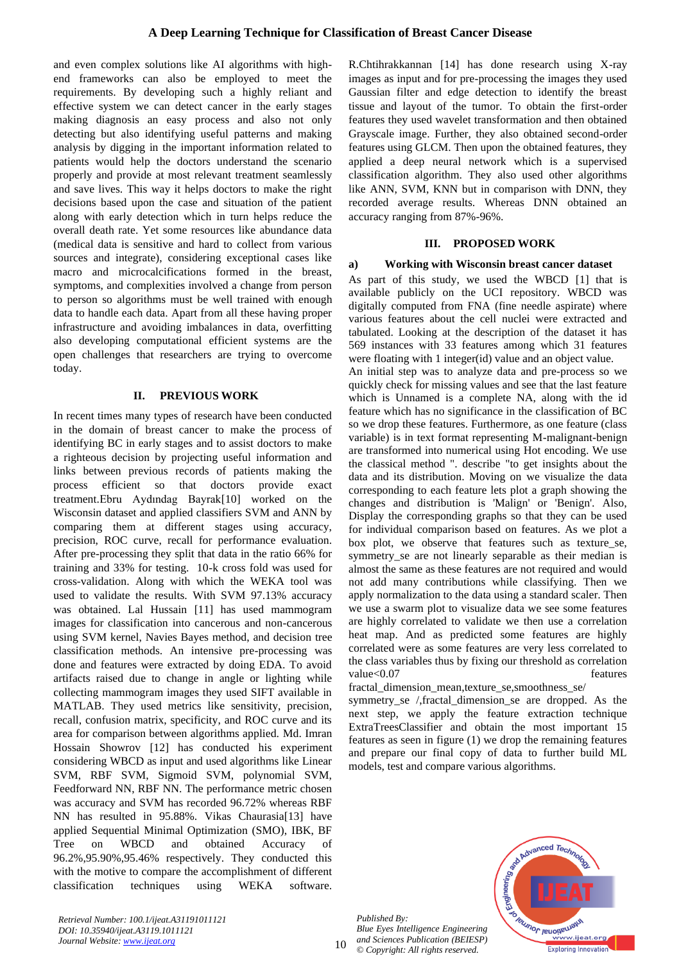and even complex solutions like AI algorithms with highend frameworks can also be employed to meet the requirements. By developing such a highly reliant and effective system we can detect cancer in the early stages making diagnosis an easy process and also not only detecting but also identifying useful patterns and making analysis by digging in the important information related to patients would help the doctors understand the scenario properly and provide at most relevant treatment seamlessly and save lives. This way it helps doctors to make the right decisions based upon the case and situation of the patient along with early detection which in turn helps reduce the overall death rate. Yet some resources like abundance data (medical data is sensitive and hard to collect from various sources and integrate), considering exceptional cases like macro and microcalcifications formed in the breast, symptoms, and complexities involved a change from person to person so algorithms must be well trained with enough data to handle each data. Apart from all these having proper infrastructure and avoiding imbalances in data, overfitting also developing computational efficient systems are the open challenges that researchers are trying to overcome today.

# **II. PREVIOUS WORK**

In recent times many types of research have been conducted in the domain of breast cancer to make the process of identifying BC in early stages and to assist doctors to make a righteous decision by projecting useful information and links between previous records of patients making the process efficient so that doctors provide exact treatment.[Ebru Aydındag Bayrak](https://ieeexplore.ieee.org/author/37086866265)[10] worked on the Wisconsin dataset and applied classifiers SVM and ANN by comparing them at different stages using accuracy, precision, ROC curve, recall for performance evaluation. After pre-processing they split that data in the ratio 66% for training and 33% for testing. 10-k cross fold was used for cross-validation. Along with which the WEKA tool was used to validate the results. With SVM 97.13% accuracy was obtained. Lal Hussain [11] has used mammogram images for classification into cancerous and non-cancerous using SVM kernel, Navies Bayes method, and decision tree classification methods. An intensive pre-processing was done and features were extracted by doing EDA. To avoid artifacts raised due to change in angle or lighting while collecting mammogram images they used SIFT available in MATLAB. They used metrics like sensitivity, precision, recall, confusion matrix, specificity, and ROC curve and its area for comparison between algorithms applied. [Md. Imran](https://ieeexplore.ieee.org/author/37087406507)  [Hossain Showrov](https://ieeexplore.ieee.org/author/37087406507) [12] has conducted his experiment considering WBCD as input and used algorithms like Linear SVM, RBF SVM, Sigmoid SVM, polynomial SVM, Feedforward NN, RBF NN. The performance metric chosen was accuracy and SVM has recorded 96.72% whereas RBF NN has resulted in 95.88%. Vikas Chaurasia[13] have applied Sequential Minimal Optimization (SMO), IBK, BF Tree on WBCD and obtained Accuracy of 96.2%,95.90%,95.46% respectively. They conducted this with the motive to compare the accomplishment of different classification techniques using WEKA software.

R.Chtihrakkannan [14] has done research using X-ray images as input and for pre-processing the images they used Gaussian filter and edge detection to identify the breast tissue and layout of the tumor. To obtain the first-order features they used wavelet transformation and then obtained Grayscale image. Further, they also obtained second-order features using GLCM. Then upon the obtained features, they applied a deep neural network which is a supervised classification algorithm. They also used other algorithms like ANN, SVM, KNN but in comparison with DNN, they recorded average results. Whereas DNN obtained an accuracy ranging from 87%-96%.

# **III. PROPOSED WORK**

# **a) Working with Wisconsin breast cancer dataset**

As part of this study, we used the WBCD [1] that is available publicly on the UCI repository. WBCD was digitally computed from FNA (fine needle aspirate) where various features about the cell nuclei were extracted and tabulated. Looking at the description of the dataset it has 569 instances with 33 features among which 31 features were floating with 1 integer(id) value and an object value.

An initial step was to analyze data and pre-process so we quickly check for missing values and see that the last feature which is Unnamed is a complete NA, along with the id feature which has no significance in the classification of BC so we drop these features. Furthermore, as one feature (class variable) is in text format representing M-malignant-benign are transformed into numerical using Hot encoding. We use the classical method ". describe "to get insights about the data and its distribution. Moving on we visualize the data corresponding to each feature lets plot a graph showing the changes and distribution is 'Malign' or 'Benign'. Also, Display the corresponding graphs so that they can be used for individual comparison based on features. As we plot a box plot, we observe that features such as texture\_se, symmetry\_se are not linearly separable as their median is almost the same as these features are not required and would not add many contributions while classifying. Then we apply normalization to the data using a standard scaler. Then we use a swarm plot to visualize data we see some features are highly correlated to validate we then use a correlation heat map. And as predicted some features are highly correlated were as some features are very less correlated to the class variables thus by fixing our threshold as correlation value<0.07 features

fractal dimension mean,texture se,smoothness se/ symmetry se /,fractal dimension se are dropped. As the next step, we apply the feature extraction technique ExtraTreesClassifier and obtain the most important 15 features as seen in figure (1) we drop the remaining features and prepare our final copy of data to further build ML models, test and compare various algorithms.



*Retrieval Number: 100.1/ijeat.A31191011121 DOI: 10.35940/ijeat.A3119.1011121 Journal Website: [www.ijeat.org](http://www.ijeat.org/)* 

*Published By: Blue Eyes Intelligence Engineering and Sciences Publication (BEIESP) © Copyright: All rights reserved.*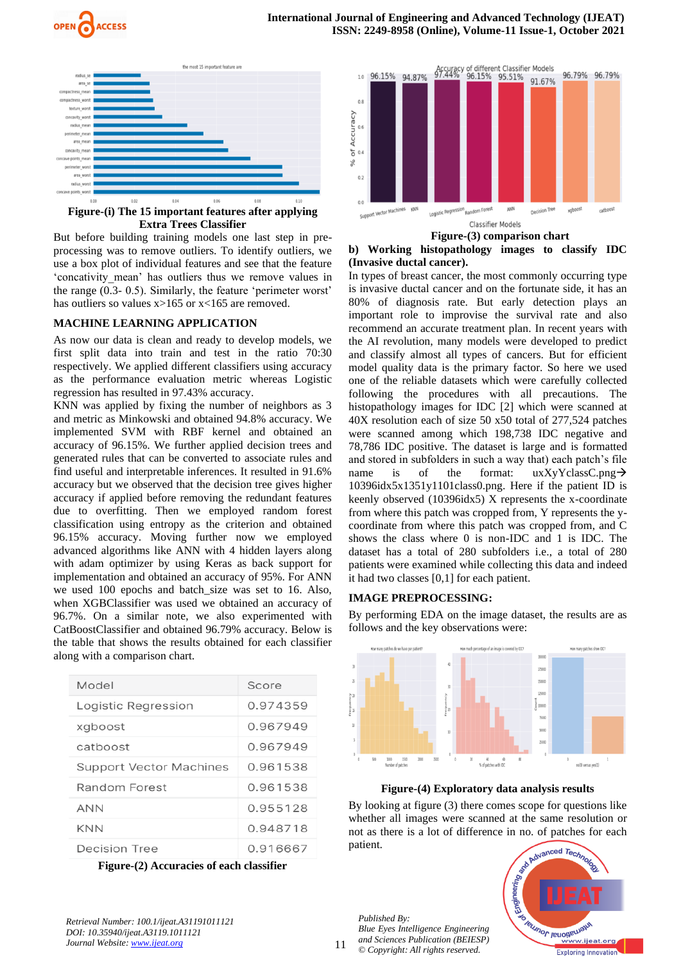



**Figure-(i) The 15 important features after applying Extra Trees Classifier**

But before building training models one last step in preprocessing was to remove outliers. To identify outliers, we use a box plot of individual features and see that the feature 'concativity\_mean' has outliers thus we remove values in the range (0.3- 0.5). Similarly, the feature 'perimeter worst' has outliers so values  $x>165$  or  $x<165$  are removed.

# **MACHINE LEARNING APPLICATION**

As now our data is clean and ready to develop models, we first split data into train and test in the ratio 70:30 respectively. We applied different classifiers using accuracy as the performance evaluation metric whereas Logistic regression has resulted in 97.43% accuracy.

KNN was applied by fixing the number of neighbors as 3 and metric as Minkowski and obtained 94.8% accuracy. We implemented SVM with RBF kernel and obtained an accuracy of 96.15%. We further applied decision trees and generated rules that can be converted to associate rules and find useful and interpretable inferences. It resulted in 91.6% accuracy but we observed that the decision tree gives higher accuracy if applied before removing the redundant features due to overfitting. Then we employed random forest classification using entropy as the criterion and obtained 96.15% accuracy. Moving further now we employed advanced algorithms like ANN with 4 hidden layers along with adam optimizer by using Keras as back support for implementation and obtained an accuracy of 95%. For ANN we used 100 epochs and batch size was set to 16. Also, when XGBClassifier was used we obtained an accuracy of 96.7%. On a similar note, we also experimented with CatBoostClassifier and obtained 96.79% accuracy. Below is the table that shows the results obtained for each classifier along with a comparison chart.

| Model                          | Score    |
|--------------------------------|----------|
| Logistic Regression            | 0.974359 |
| xgboost                        | 0.967949 |
| catboost                       | 0.967949 |
| <b>Support Vector Machines</b> | 0.961538 |
| Random Forest                  | 0.961538 |
| <b>ANN</b>                     | 0.955128 |
| <b>KNN</b>                     | 0.948718 |
| Decision Tree                  | 0.916667 |

**Figure-(2) Accuracies of each classifier**



#### **Figure-(3) comparison chart b) Working histopathology images to classify IDC (Invasive ductal cancer).**

In types of breast cancer, the most commonly occurring type is invasive ductal cancer and on the fortunate side, it has an 80% of diagnosis rate. But early detection plays an important role to improvise the survival rate and also recommend an accurate treatment plan. In recent years with the AI revolution, many models were developed to predict and classify almost all types of cancers. But for efficient model quality data is the primary factor. So here we used one of the reliable datasets which were carefully collected following the procedures with all precautions. The histopathology images for IDC [2] which were scanned at 40X resolution each of size 50 x50 total of 277,524 patches were scanned among which 198,738 IDC negative and 78,786 IDC positive. The dataset is large and is formatted and stored in subfolders in such a way that) each patch's file name is of the format:  $uxXyYclassC.png \rightarrow$ 10396idx5x1351y1101class0.png. Here if the patient ID is keenly observed (10396idx5) X represents the x-coordinate from where this patch was cropped from, Y represents the ycoordinate from where this patch was cropped from, and C shows the class where 0 is non-IDC and 1 is IDC. The dataset has a total of 280 subfolders i.e., a total of 280 patients were examined while collecting this data and indeed it had two classes [0,1] for each patient.

#### **IMAGE PREPROCESSING:**

By performing EDA on the image dataset, the results are as follows and the key observations were:





By looking at figure (3) there comes scope for questions like whether all images were scanned at the same resolution or not as there is a lot of difference in no. of patches for each patient.



*Retrieval Number: 100.1/ijeat.A31191011121 DOI: 10.35940/ijeat.A3119.1011121 Journal Website[: www.ijeat.org](http://www.ijeat.org/)* 

11 *Published By: Blue Eyes Intelligence Engineering and Sciences Publication (BEIESP) © Copyright: All rights reserved.*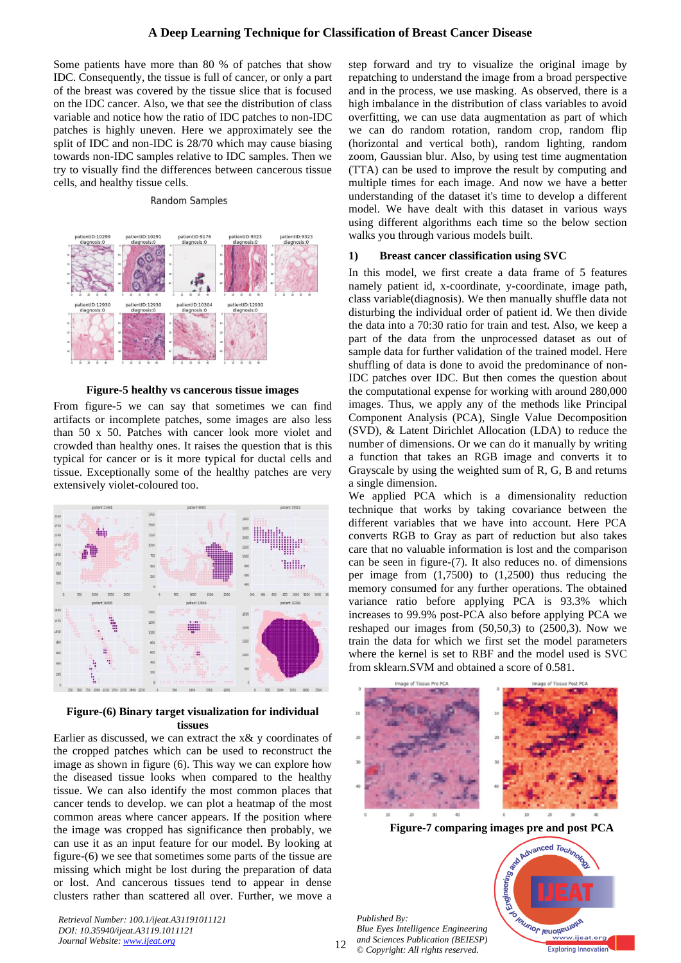## **A Deep Learning Technique for Classification of Breast Cancer Disease**

Some patients have more than 80 % of patches that show IDC. Consequently, the tissue is full of cancer, or only a part of the breast was covered by the tissue slice that is focused on the IDC cancer. Also, we that see the distribution of class variable and notice how the ratio of IDC patches to non-IDC patches is highly uneven. Here we approximately see the split of IDC and non-IDC is 28/70 which may cause biasing towards non-IDC samples relative to IDC samples. Then we try to visually find the differences between cancerous tissue cells, and healthy tissue cells.

#### **Random Samples**



**Figure-5 healthy vs cancerous tissue images**

From figure-5 we can say that sometimes we can find artifacts or incomplete patches, some images are also less than 50 x 50. Patches with cancer look more violet and crowded than healthy ones. It raises the question that is this typical for cancer or is it more typical for ductal cells and tissue. Exceptionally some of the healthy patches are very extensively violet-coloured too.



## **Figure-(6) Binary target visualization for individual tissues**

Earlier as discussed, we can extract the x& y coordinates of the cropped patches which can be used to reconstruct the image as shown in figure (6). This way we can explore how the diseased tissue looks when compared to the healthy tissue. We can also identify the most common places that cancer tends to develop. we can plot a heatmap of the most common areas where cancer appears. If the position where the image was cropped has significance then probably, we can use it as an input feature for our model. By looking at figure-(6) we see that sometimes some parts of the tissue are missing which might be lost during the preparation of data or lost. And cancerous tissues tend to appear in dense clusters rather than scattered all over. Further, we move a

*Retrieval Number: 100.1/ijeat.A31191011121 DOI: 10.35940/ijeat.A3119.1011121 Journal Website: [www.ijeat.org](http://www.ijeat.org/)* 

step forward and try to visualize the original image by repatching to understand the image from a broad perspective and in the process, we use masking. As observed, there is a high imbalance in the distribution of class variables to avoid overfitting, we can use data augmentation as part of which we can do random rotation, random crop, random flip (horizontal and vertical both), random lighting, random zoom, Gaussian blur. Also, by using test time augmentation (TTA) can be used to improve the result by computing and multiple times for each image. And now we have a better understanding of the dataset it's time to develop a different model. We have dealt with this dataset in various ways using different algorithms each time so the below section walks you through various models built.

#### **1) Breast cancer classification using SVC**

In this model, we first create a data frame of 5 features namely patient id, x-coordinate, y-coordinate, image path, class variable(diagnosis). We then manually shuffle data not disturbing the individual order of patient id. We then divide the data into a 70:30 ratio for train and test. Also, we keep a part of the data from the unprocessed dataset as out of sample data for further validation of the trained model. Here shuffling of data is done to avoid the predominance of non-IDC patches over IDC. But then comes the question about the computational expense for working with around 280,000 images. Thus, we apply any of the methods like Principal Component Analysis (PCA), Single Value Decomposition (SVD), & Latent Dirichlet Allocation (LDA) to reduce the number of dimensions. Or we can do it manually by writing a function that takes an RGB image and converts it to Grayscale by using the weighted sum of R, G, B and returns a single dimension.

We applied PCA which is a dimensionality reduction technique that works by taking covariance between the different variables that we have into account. Here PCA converts RGB to Gray as part of reduction but also takes care that no valuable information is lost and the comparison can be seen in figure-(7). It also reduces no. of dimensions per image from (1,7500) to (1,2500) thus reducing the memory consumed for any further operations. The obtained variance ratio before applying PCA is 93.3% which increases to 99.9% post-PCA also before applying PCA we reshaped our images from  $(50,50,3)$  to  $(2500,3)$ . Now we train the data for which we first set the model parameters where the kernel is set to RBF and the model used is SVC from sklearn.SVM and obtained a score of 0.581.



**Figure-7 comparing images pre and post PCA**

*Published By: Blue Eyes Intelligence Engineering and Sciences Publication (BEIESP) © Copyright: All rights reserved.*



12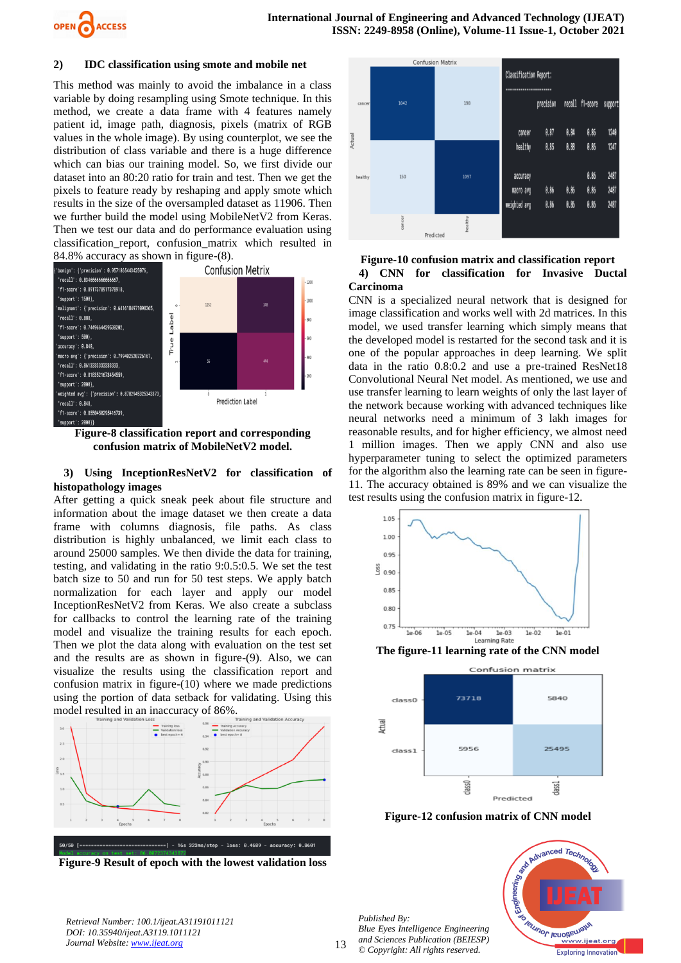

## **2) IDC classification using smote and mobile net**

This method was mainly to avoid the imbalance in a class variable by doing resampling using Smote technique. In this method, we create a data frame with 4 features namely patient id, image path, diagnosis, pixels (matrix of RGB values in the whole image). By using counterplot, we see the distribution of class variable and there is a huge difference which can bias our training model. So, we first divide our dataset into an 80:20 ratio for train and test. Then we get the pixels to feature ready by reshaping and apply smote which results in the size of the oversampled dataset as 11906. Then we further build the model using MobileNetV2 from Keras. Then we test our data and do performance evaluation using classification\_report, confusion\_matrix which resulted in 84.8% accuracy as shown in figure-(8).



**Figure-8 classification report and corresponding confusion matrix of MobileNetV2 model.**

## **3) Using InceptionResNetV2 for classification of histopathology images**

After getting a quick sneak peek about file structure and information about the image dataset we then create a data frame with columns diagnosis, file paths. As class distribution is highly unbalanced, we limit each class to around 25000 samples. We then divide the data for training, testing, and validating in the ratio 9:0.5:0.5. We set the test batch size to 50 and run for 50 test steps. We apply batch normalization for each layer and apply our model InceptionResNetV2 from Keras. We also create a subclass for callbacks to control the learning rate of the training model and visualize the training results for each epoch. Then we plot the data along with evaluation on the test set and the results are as shown in figure-(9). Also, we can visualize the results using the classification report and confusion matrix in figure-(10) where we made predictions using the portion of data setback for validating. Using this model resulted in an inaccuracy of 86%.







# **Figure-10 confusion matrix and classification report 4) CNN for classification for Invasive Ductal Carcinoma**

CNN is a specialized neural network that is designed for image classification and works well with 2d matrices. In this model, we used transfer learning which simply means that the developed model is restarted for the second task and it is one of the popular approaches in deep learning. We split data in the ratio 0.8:0.2 and use a pre-trained ResNet18 Convolutional Neural Net model. As mentioned, we use and use transfer learning to learn weights of only the last layer of the network because working with advanced techniques like neural networks need a minimum of 3 lakh images for reasonable results, and for higher efficiency, we almost need 1 million images. Then we apply CNN and also use hyperparameter tuning to select the optimized parameters for the algorithm also the learning rate can be seen in figure-11. The accuracy obtained is 89% and we can visualize the test results using the confusion matrix in figure-12.



**The figure-11 learning rate of the CNN model**



**Figure-12 confusion matrix of CNN model**



*Retrieval Number: 100.1/ijeat.A31191011121 DOI: 10.35940/ijeat.A3119.1011121 Journal Website[: www.ijeat.org](http://www.ijeat.org/)* 

*Published By:*

*© Copyright: All rights reserved.*